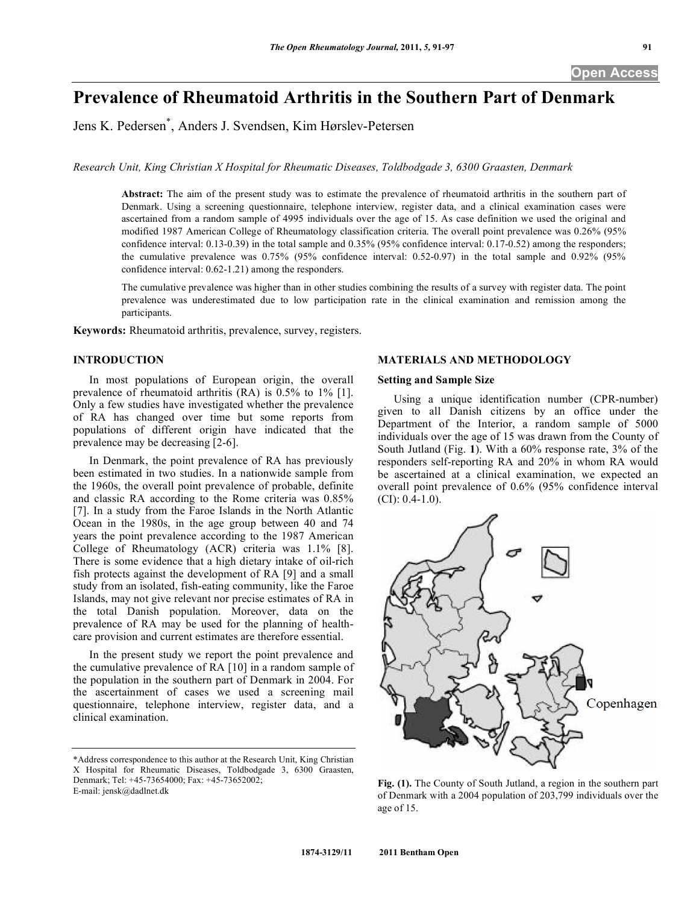# **Prevalence of Rheumatoid Arthritis in the Southern Part of Denmark**

Jens K. Pedersen\* , Anders J. Svendsen, Kim Hørslev-Petersen

*Research Unit, King Christian X Hospital for Rheumatic Diseases, Toldbodgade 3, 6300 Graasten, Denmark*

**Abstract:** The aim of the present study was to estimate the prevalence of rheumatoid arthritis in the southern part of Denmark. Using a screening questionnaire, telephone interview, register data, and a clinical examination cases were ascertained from a random sample of 4995 individuals over the age of 15. As case definition we used the original and modified 1987 American College of Rheumatology classification criteria. The overall point prevalence was 0.26% (95% confidence interval: 0.13-0.39) in the total sample and 0.35% (95% confidence interval: 0.17-0.52) among the responders; the cumulative prevalence was 0.75% (95% confidence interval: 0.52-0.97) in the total sample and 0.92% (95% confidence interval: 0.62-1.21) among the responders.

The cumulative prevalence was higher than in other studies combining the results of a survey with register data. The point prevalence was underestimated due to low participation rate in the clinical examination and remission among the participants.

**Keywords:** Rheumatoid arthritis, prevalence, survey, registers.

# **INTRODUCTION**

 In most populations of European origin, the overall prevalence of rheumatoid arthritis (RA) is 0.5% to 1% [1]. Only a few studies have investigated whether the prevalence of RA has changed over time but some reports from populations of different origin have indicated that the prevalence may be decreasing [2-6].

 In Denmark, the point prevalence of RA has previously been estimated in two studies. In a nationwide sample from the 1960s, the overall point prevalence of probable, definite and classic RA according to the Rome criteria was 0.85% [7]. In a study from the Faroe Islands in the North Atlantic Ocean in the 1980s, in the age group between 40 and 74 years the point prevalence according to the 1987 American College of Rheumatology (ACR) criteria was 1.1% [8]. There is some evidence that a high dietary intake of oil-rich fish protects against the development of RA [9] and a small study from an isolated, fish-eating community, like the Faroe Islands, may not give relevant nor precise estimates of RA in the total Danish population. Moreover, data on the prevalence of RA may be used for the planning of healthcare provision and current estimates are therefore essential.

 In the present study we report the point prevalence and the cumulative prevalence of RA [10] in a random sample of the population in the southern part of Denmark in 2004. For the ascertainment of cases we used a screening mail questionnaire, telephone interview, register data, and a clinical examination.

# **MATERIALS AND METHODOLOGY**

# **Setting and Sample Size**

 Using a unique identification number (CPR-number) given to all Danish citizens by an office under the Department of the Interior, a random sample of 5000 individuals over the age of 15 was drawn from the County of South Jutland (Fig. **1**). With a 60% response rate, 3% of the responders self-reporting RA and 20% in whom RA would be ascertained at a clinical examination, we expected an overall point prevalence of 0.6% (95% confidence interval  $(CI): 0.4-1.0$ ).



**Fig. (1).** The County of South Jutland, a region in the southern part of Denmark with a 2004 population of 203,799 individuals over the age of 15.

<sup>\*</sup>Address correspondence to this author at the Research Unit, King Christian X Hospital for Rheumatic Diseases, Toldbodgade 3, 6300 Graasten, Denmark; Tel: +45-73654000; Fax: +45-73652002; E-mail: jensk@dadlnet.dk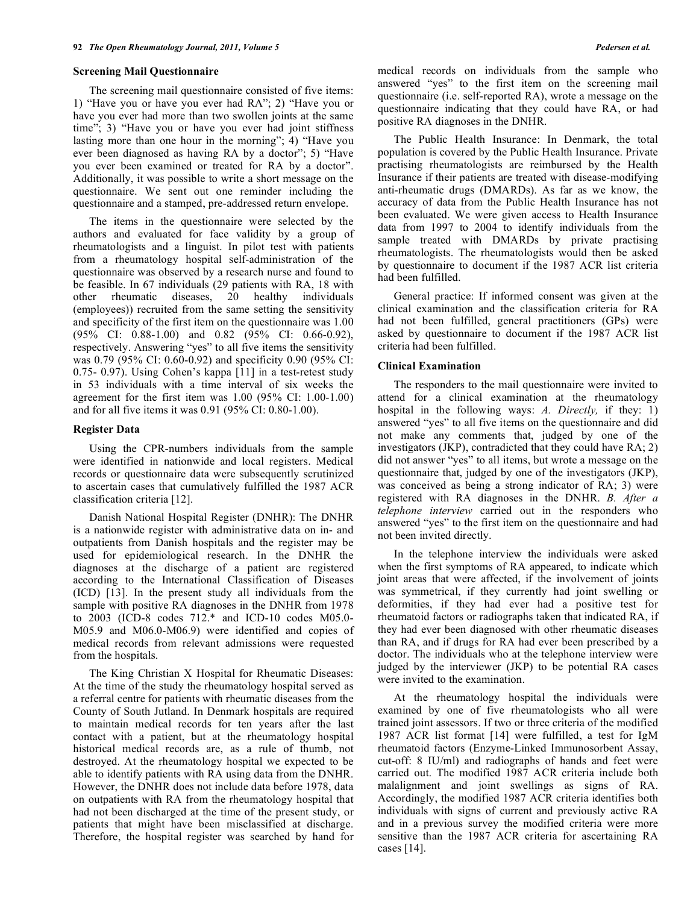#### **Screening Mail Questionnaire**

 The screening mail questionnaire consisted of five items: 1) "Have you or have you ever had RA"; 2) "Have you or have you ever had more than two swollen joints at the same time"; 3) "Have you or have you ever had joint stiffness lasting more than one hour in the morning"; 4) "Have you ever been diagnosed as having RA by a doctor"; 5) "Have you ever been examined or treated for RA by a doctor". Additionally, it was possible to write a short message on the questionnaire. We sent out one reminder including the questionnaire and a stamped, pre-addressed return envelope.

 The items in the questionnaire were selected by the authors and evaluated for face validity by a group of rheumatologists and a linguist. In pilot test with patients from a rheumatology hospital self-administration of the questionnaire was observed by a research nurse and found to be feasible. In 67 individuals (29 patients with RA, 18 with other rheumatic diseases, 20 healthy individuals (employees)) recruited from the same setting the sensitivity and specificity of the first item on the questionnaire was 1.00 (95% CI: 0.88-1.00) and 0.82 (95% CI: 0.66-0.92), respectively. Answering "yes" to all five items the sensitivity was 0.79 (95% CI: 0.60-0.92) and specificity 0.90 (95% CI: 0.75- 0.97). Using Cohen's kappa [11] in a test-retest study in 53 individuals with a time interval of six weeks the agreement for the first item was 1.00 (95% CI: 1.00-1.00) and for all five items it was 0.91 (95% CI: 0.80-1.00).

#### **Register Data**

 Using the CPR-numbers individuals from the sample were identified in nationwide and local registers. Medical records or questionnaire data were subsequently scrutinized to ascertain cases that cumulatively fulfilled the 1987 ACR classification criteria [12].

 Danish National Hospital Register (DNHR): The DNHR is a nationwide register with administrative data on in- and outpatients from Danish hospitals and the register may be used for epidemiological research. In the DNHR the diagnoses at the discharge of a patient are registered according to the International Classification of Diseases (ICD) [13]. In the present study all individuals from the sample with positive RA diagnoses in the DNHR from 1978 to 2003 (ICD-8 codes 712.\* and ICD-10 codes M05.0- M05.9 and M06.0-M06.9) were identified and copies of medical records from relevant admissions were requested from the hospitals.

 The King Christian X Hospital for Rheumatic Diseases: At the time of the study the rheumatology hospital served as a referral centre for patients with rheumatic diseases from the County of South Jutland. In Denmark hospitals are required to maintain medical records for ten years after the last contact with a patient, but at the rheumatology hospital historical medical records are, as a rule of thumb, not destroyed. At the rheumatology hospital we expected to be able to identify patients with RA using data from the DNHR. However, the DNHR does not include data before 1978, data on outpatients with RA from the rheumatology hospital that had not been discharged at the time of the present study, or patients that might have been misclassified at discharge. Therefore, the hospital register was searched by hand for

medical records on individuals from the sample who answered "yes" to the first item on the screening mail questionnaire (i.e. self-reported RA), wrote a message on the questionnaire indicating that they could have RA, or had positive RA diagnoses in the DNHR.

 The Public Health Insurance: In Denmark, the total population is covered by the Public Health Insurance. Private practising rheumatologists are reimbursed by the Health Insurance if their patients are treated with disease-modifying anti-rheumatic drugs (DMARDs). As far as we know, the accuracy of data from the Public Health Insurance has not been evaluated. We were given access to Health Insurance data from 1997 to 2004 to identify individuals from the sample treated with DMARDs by private practising rheumatologists. The rheumatologists would then be asked by questionnaire to document if the 1987 ACR list criteria had been fulfilled.

 General practice: If informed consent was given at the clinical examination and the classification criteria for RA had not been fulfilled, general practitioners (GPs) were asked by questionnaire to document if the 1987 ACR list criteria had been fulfilled.

#### **Clinical Examination**

 The responders to the mail questionnaire were invited to attend for a clinical examination at the rheumatology hospital in the following ways: *A. Directly,* if they: 1) answered "yes" to all five items on the questionnaire and did not make any comments that, judged by one of the investigators (JKP), contradicted that they could have RA; 2) did not answer "yes" to all items, but wrote a message on the questionnaire that, judged by one of the investigators (JKP), was conceived as being a strong indicator of RA; 3) were registered with RA diagnoses in the DNHR. *B. After a telephone interview* carried out in the responders who answered "yes" to the first item on the questionnaire and had not been invited directly.

 In the telephone interview the individuals were asked when the first symptoms of RA appeared, to indicate which joint areas that were affected, if the involvement of joints was symmetrical, if they currently had joint swelling or deformities, if they had ever had a positive test for rheumatoid factors or radiographs taken that indicated RA, if they had ever been diagnosed with other rheumatic diseases than RA, and if drugs for RA had ever been prescribed by a doctor. The individuals who at the telephone interview were judged by the interviewer (JKP) to be potential RA cases were invited to the examination.

 At the rheumatology hospital the individuals were examined by one of five rheumatologists who all were trained joint assessors. If two or three criteria of the modified 1987 ACR list format [14] were fulfilled, a test for IgM rheumatoid factors (Enzyme-Linked Immunosorbent Assay, cut-off: 8 IU/ml) and radiographs of hands and feet were carried out. The modified 1987 ACR criteria include both malalignment and joint swellings as signs of RA. Accordingly, the modified 1987 ACR criteria identifies both individuals with signs of current and previously active RA and in a previous survey the modified criteria were more sensitive than the 1987 ACR criteria for ascertaining RA cases [14].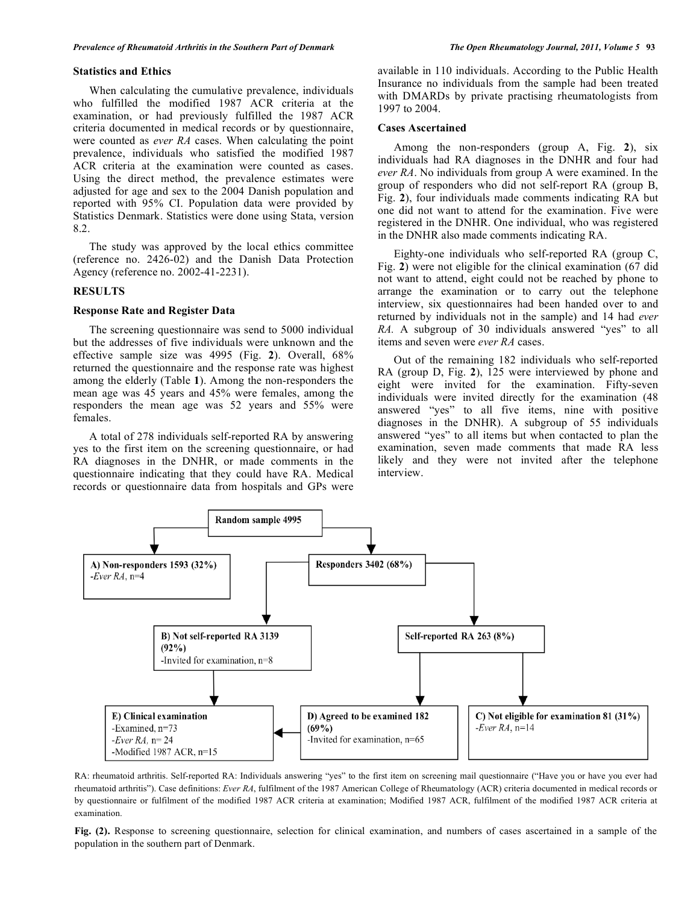#### **Statistics and Ethics**

 When calculating the cumulative prevalence, individuals who fulfilled the modified 1987 ACR criteria at the examination, or had previously fulfilled the 1987 ACR criteria documented in medical records or by questionnaire, were counted as *ever RA* cases. When calculating the point prevalence, individuals who satisfied the modified 1987 ACR criteria at the examination were counted as cases. Using the direct method, the prevalence estimates were adjusted for age and sex to the 2004 Danish population and reported with 95% CI. Population data were provided by Statistics Denmark. Statistics were done using Stata, version 8.2.

 The study was approved by the local ethics committee (reference no. 2426-02) and the Danish Data Protection Agency (reference no. 2002-41-2231).

#### **RESULTS**

### **Response Rate and Register Data**

 The screening questionnaire was send to 5000 individual but the addresses of five individuals were unknown and the effective sample size was 4995 (Fig. **2**). Overall, 68% returned the questionnaire and the response rate was highest among the elderly (Table **1**). Among the non-responders the mean age was 45 years and 45% were females, among the responders the mean age was 52 years and 55% were females.

 A total of 278 individuals self-reported RA by answering yes to the first item on the screening questionnaire, or had RA diagnoses in the DNHR, or made comments in the questionnaire indicating that they could have RA. Medical records or questionnaire data from hospitals and GPs were

available in 110 individuals. According to the Public Health Insurance no individuals from the sample had been treated with DMARDs by private practising rheumatologists from 1997 to 2004.

#### **Cases Ascertained**

 Among the non-responders (group A, Fig. **2**), six individuals had RA diagnoses in the DNHR and four had *ever RA*. No individuals from group A were examined. In the group of responders who did not self-report RA (group B, Fig. **2**), four individuals made comments indicating RA but one did not want to attend for the examination. Five were registered in the DNHR. One individual, who was registered in the DNHR also made comments indicating RA.

 Eighty-one individuals who self-reported RA (group C, Fig. **2**) were not eligible for the clinical examination (67 did not want to attend, eight could not be reached by phone to arrange the examination or to carry out the telephone interview, six questionnaires had been handed over to and returned by individuals not in the sample) and 14 had *ever RA.* A subgroup of 30 individuals answered "yes" to all items and seven were *ever RA* cases.

 Out of the remaining 182 individuals who self-reported RA (group D, Fig. **2**), 125 were interviewed by phone and eight were invited for the examination. Fifty-seven individuals were invited directly for the examination (48 answered "yes" to all five items, nine with positive diagnoses in the DNHR). A subgroup of 55 individuals answered "yes" to all items but when contacted to plan the examination, seven made comments that made RA less likely and they were not invited after the telephone interview.



RA: rheumatoid arthritis. Self-reported RA: Individuals answering "yes" to the first item on screening mail questionnaire ("Have you or have you ever had rheumatoid arthritis"). Case definitions: *Ever RA*, fulfilment of the 1987 American College of Rheumatology (ACR) criteria documented in medical records or by questionnaire or fulfilment of the modified 1987 ACR criteria at examination; Modified 1987 ACR, fulfilment of the modified 1987 ACR criteria at examination.

**Fig. (2).** Response to screening questionnaire, selection for clinical examination, and numbers of cases ascertained in a sample of the population in the southern part of Denmark.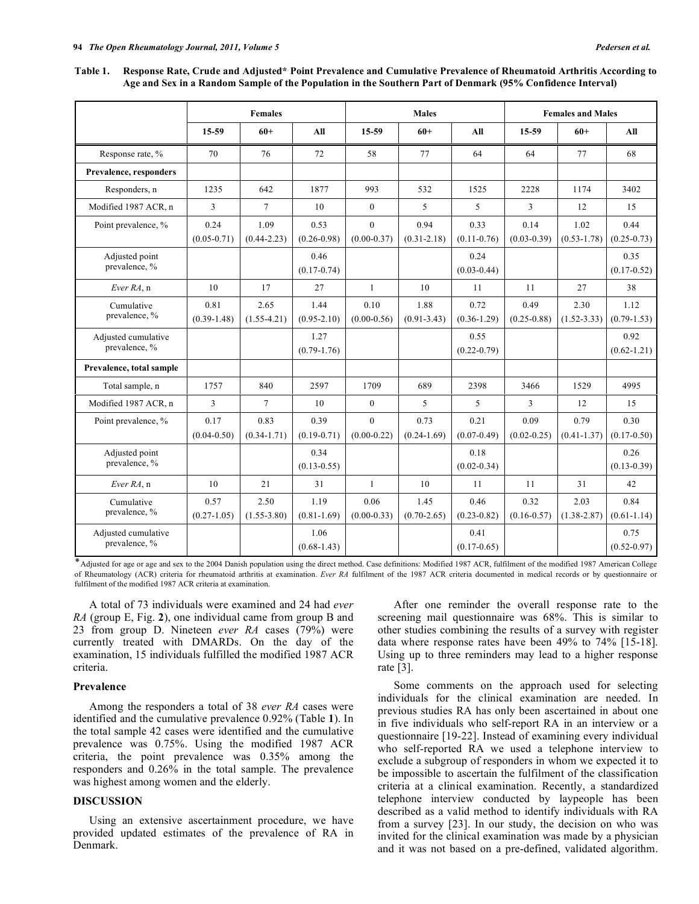| Table 1. Response Rate, Crude and Adjusted* Point Prevalence and Cumulative Prevalence of Rheumatoid Arthritis According to |
|-----------------------------------------------------------------------------------------------------------------------------|
| Age and Sex in a Random Sample of the Population in the Southern Part of Denmark (95% Confidence Interval)                  |

|                                      | <b>Females</b>          |                         |                         | <b>Males</b>                |                         |                         | <b>Females and Males</b> |                         |                         |
|--------------------------------------|-------------------------|-------------------------|-------------------------|-----------------------------|-------------------------|-------------------------|--------------------------|-------------------------|-------------------------|
|                                      | 15-59                   | $60+$                   | All                     | 15-59                       | $60+$                   | All                     | 15-59                    | $60+$                   | All                     |
| Response rate, %                     | 70                      | 76                      | 72                      | 58                          | 77                      | 64                      | 64                       | 77                      | 68                      |
| Prevalence, responders               |                         |                         |                         |                             |                         |                         |                          |                         |                         |
| Responders, n                        | 1235                    | 642                     | 1877                    | 993                         | 532                     | 1525                    | 2228                     | 1174                    | 3402                    |
| Modified 1987 ACR, n                 | 3                       | $\tau$                  | 10                      | $\mathbf{0}$                | 5                       | 5                       | 3                        | 12                      | 15                      |
| Point prevalence, %                  | 0.24<br>$(0.05 - 0.71)$ | 1.09<br>$(0.44 - 2.23)$ | 0.53<br>$(0.26 - 0.98)$ | $\theta$<br>$(0.00 - 0.37)$ | 0.94<br>$(0.31 - 2.18)$ | 0.33<br>$(0.11 - 0.76)$ | 0.14<br>$(0.03 - 0.39)$  | 1.02<br>$(0.53 - 1.78)$ | 0.44<br>$(0.25 - 0.73)$ |
| Adjusted point<br>prevalence, %      |                         |                         | 0.46<br>$(0.17 - 0.74)$ |                             |                         | 0.24<br>$(0.03 - 0.44)$ |                          |                         | 0.35<br>$(0.17 - 0.52)$ |
| Ever RA, n                           | 10                      | 17                      | 27                      | $\mathbf{1}$                | 10                      | 11                      | 11                       | 27                      | 38                      |
| Cumulative<br>prevalence, %          | 0.81<br>$(0.39 - 1.48)$ | 2.65<br>$(1.55 - 4.21)$ | 1.44<br>$(0.95 - 2.10)$ | 0.10<br>$(0.00-0.56)$       | 1.88<br>$(0.91 - 3.43)$ | 0.72<br>$(0.36 - 1.29)$ | 0.49<br>$(0.25 - 0.88)$  | 2.30<br>$(1.52 - 3.33)$ | 1.12<br>$(0.79-1.53)$   |
| Adjusted cumulative<br>prevalence, % |                         |                         | 1.27<br>$(0.79-1.76)$   |                             |                         | 0.55<br>$(0.22 - 0.79)$ |                          |                         | 0.92<br>$(0.62 - 1.21)$ |
| Prevalence, total sample             |                         |                         |                         |                             |                         |                         |                          |                         |                         |
| Total sample, n                      | 1757                    | 840                     | 2597                    | 1709                        | 689                     | 2398                    | 3466                     | 1529                    | 4995                    |
| Modified 1987 ACR, n                 | 3                       | $\tau$                  | 10                      | $\mathbf{0}$                | 5                       | 5                       | 3                        | 12                      | 15                      |
| Point prevalence, %                  | 0.17<br>$(0.04 - 0.50)$ | 0.83<br>$(0.34 - 1.71)$ | 0.39<br>$(0.19 - 0.71)$ | $\Omega$<br>$(0.00 - 0.22)$ | 0.73<br>$(0.24 - 1.69)$ | 0.21<br>$(0.07 - 0.49)$ | 0.09<br>$(0.02 - 0.25)$  | 0.79<br>$(0.41 - 1.37)$ | 0.30<br>$(0.17 - 0.50)$ |
| Adjusted point<br>prevalence, %      |                         |                         | 0.34<br>$(0.13 - 0.55)$ |                             |                         | 0.18<br>$(0.02 - 0.34)$ |                          |                         | 0.26<br>$(0.13 - 0.39)$ |
| Ever RA, n                           | 10                      | 21                      | 31                      | $\mathbf{1}$                | 10                      | 11                      | 11                       | 31                      | 42                      |
| Cumulative<br>prevalence, %          | 0.57<br>$(0.27 - 1.05)$ | 2.50<br>$(1.55 - 3.80)$ | 1.19<br>$(0.81 - 1.69)$ | 0.06<br>$(0.00-0.33)$       | 1.45<br>$(0.70 - 2.65)$ | 0.46<br>$(0.23 - 0.82)$ | 0.32<br>$(0.16 - 0.57)$  | 2.03<br>$(1.38 - 2.87)$ | 0.84<br>$(0.61 - 1.14)$ |
| Adjusted cumulative<br>prevalence, % |                         |                         | 1.06<br>$(0.68 - 1.43)$ |                             |                         | 0.41<br>$(0.17 - 0.65)$ |                          |                         | 0.75<br>$(0.52 - 0.97)$ |

Adjusted for age or age and sex to the 2004 Danish population using the direct method. Case definitions: Modified 1987 ACR, fulfilment of the modified 1987 American College of Rheumatology (ACR) criteria for rheumatoid arthritis at examination. *Ever RA* fulfilment of the 1987 ACR criteria documented in medical records or by questionnaire or fulfilment of the modified 1987 ACR criteria at examination.

 A total of 73 individuals were examined and 24 had *ever RA* (group E, Fig. **2**), one individual came from group B and 23 from group D. Nineteen *ever RA* cases (79%) were currently treated with DMARDs. On the day of the examination, 15 individuals fulfilled the modified 1987 ACR criteria.

#### **Prevalence**

 Among the responders a total of 38 *ever RA* cases were identified and the cumulative prevalence 0.92% (Table **1**). In the total sample 42 cases were identified and the cumulative prevalence was 0.75%. Using the modified 1987 ACR criteria, the point prevalence was 0.35% among the responders and 0.26% in the total sample. The prevalence was highest among women and the elderly.

# **DISCUSSION**

 Using an extensive ascertainment procedure, we have provided updated estimates of the prevalence of RA in Denmark.

 After one reminder the overall response rate to the screening mail questionnaire was 68%. This is similar to other studies combining the results of a survey with register data where response rates have been 49% to 74% [15-18]. Using up to three reminders may lead to a higher response rate [3].

 Some comments on the approach used for selecting individuals for the clinical examination are needed. In previous studies RA has only been ascertained in about one in five individuals who self-report RA in an interview or a questionnaire [19-22]. Instead of examining every individual who self-reported RA we used a telephone interview to exclude a subgroup of responders in whom we expected it to be impossible to ascertain the fulfilment of the classification criteria at a clinical examination. Recently, a standardized telephone interview conducted by laypeople has been described as a valid method to identify individuals with RA from a survey [23]. In our study, the decision on who was invited for the clinical examination was made by a physician and it was not based on a pre-defined, validated algorithm.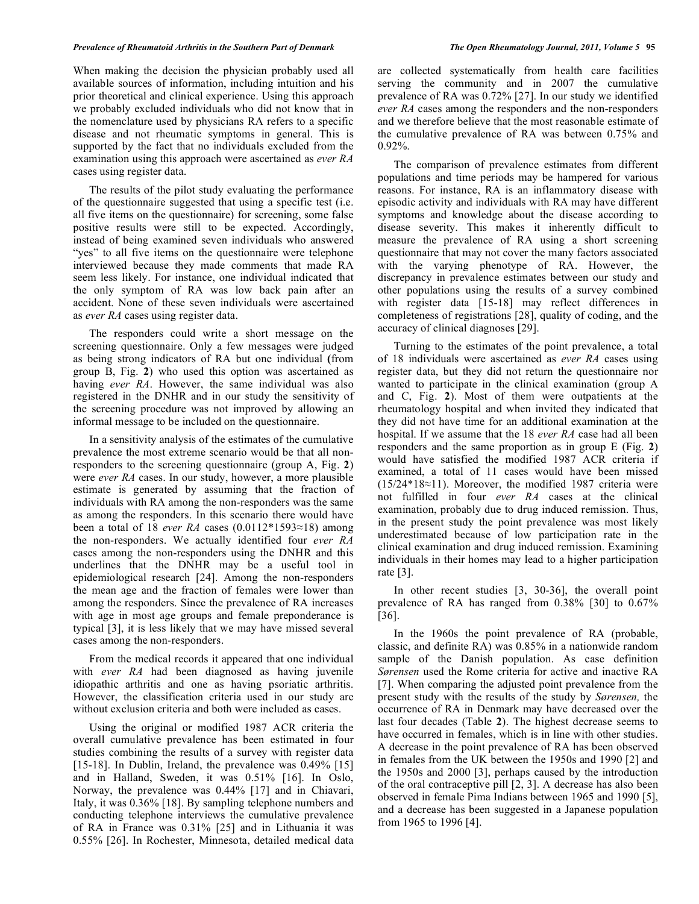#### *Prevalence of Rheumatoid Arthritis in the Southern Part of Denmark The Open Rheumatology Journal, 2011, Volume 5* **95**

When making the decision the physician probably used all available sources of information, including intuition and his prior theoretical and clinical experience. Using this approach we probably excluded individuals who did not know that in the nomenclature used by physicians RA refers to a specific disease and not rheumatic symptoms in general. This is supported by the fact that no individuals excluded from the examination using this approach were ascertained as *ever RA* cases using register data.

 The results of the pilot study evaluating the performance of the questionnaire suggested that using a specific test (i.e. all five items on the questionnaire) for screening, some false positive results were still to be expected. Accordingly, instead of being examined seven individuals who answered "yes" to all five items on the questionnaire were telephone interviewed because they made comments that made RA seem less likely. For instance, one individual indicated that the only symptom of RA was low back pain after an accident. None of these seven individuals were ascertained as *ever RA* cases using register data.

 The responders could write a short message on the screening questionnaire. Only a few messages were judged as being strong indicators of RA but one individual **(**from group B, Fig. **2**) who used this option was ascertained as having *ever RA*. However, the same individual was also registered in the DNHR and in our study the sensitivity of the screening procedure was not improved by allowing an informal message to be included on the questionnaire.

 In a sensitivity analysis of the estimates of the cumulative prevalence the most extreme scenario would be that all nonresponders to the screening questionnaire (group A, Fig. **2**) were *ever RA* cases. In our study, however, a more plausible estimate is generated by assuming that the fraction of individuals with RA among the non-responders was the same as among the responders. In this scenario there would have been a total of 18 *ever RA* cases  $(0.0112*1593\approx18)$  among the non-responders. We actually identified four *ever RA* cases among the non-responders using the DNHR and this underlines that the DNHR may be a useful tool in epidemiological research [24]. Among the non-responders the mean age and the fraction of females were lower than among the responders. Since the prevalence of RA increases with age in most age groups and female preponderance is typical [3], it is less likely that we may have missed several cases among the non-responders.

 From the medical records it appeared that one individual with *ever RA* had been diagnosed as having juvenile idiopathic arthritis and one as having psoriatic arthritis. However, the classification criteria used in our study are without exclusion criteria and both were included as cases.

 Using the original or modified 1987 ACR criteria the overall cumulative prevalence has been estimated in four studies combining the results of a survey with register data [15-18]. In Dublin, Ireland, the prevalence was 0.49% [15] and in Halland, Sweden, it was 0.51% [16]. In Oslo, Norway, the prevalence was 0.44% [17] and in Chiavari, Italy, it was 0.36% [18]. By sampling telephone numbers and conducting telephone interviews the cumulative prevalence of RA in France was 0.31% [25] and in Lithuania it was 0.55% [26]. In Rochester, Minnesota, detailed medical data

are collected systematically from health care facilities serving the community and in 2007 the cumulative prevalence of RA was 0.72% [27]. In our study we identified *ever RA* cases among the responders and the non-responders and we therefore believe that the most reasonable estimate of the cumulative prevalence of RA was between 0.75% and 0.92%.

 The comparison of prevalence estimates from different populations and time periods may be hampered for various reasons. For instance, RA is an inflammatory disease with episodic activity and individuals with RA may have different symptoms and knowledge about the disease according to disease severity. This makes it inherently difficult to measure the prevalence of RA using a short screening questionnaire that may not cover the many factors associated with the varying phenotype of RA. However, the discrepancy in prevalence estimates between our study and other populations using the results of a survey combined with register data [15-18] may reflect differences in completeness of registrations [28], quality of coding, and the accuracy of clinical diagnoses [29].

 Turning to the estimates of the point prevalence, a total of 18 individuals were ascertained as *ever RA* cases using register data, but they did not return the questionnaire nor wanted to participate in the clinical examination (group A and C, Fig. **2**). Most of them were outpatients at the rheumatology hospital and when invited they indicated that they did not have time for an additional examination at the hospital. If we assume that the 18 *ever RA* case had all been responders and the same proportion as in group E (Fig. **2**) would have satisfied the modified 1987 ACR criteria if examined, a total of 11 cases would have been missed  $(15/24*18\approx11)$ . Moreover, the modified 1987 criteria were not fulfilled in four *ever RA* cases at the clinical examination, probably due to drug induced remission. Thus, in the present study the point prevalence was most likely underestimated because of low participation rate in the clinical examination and drug induced remission. Examining individuals in their homes may lead to a higher participation rate [3].

 In other recent studies [3, 30-36], the overall point prevalence of RA has ranged from 0.38% [30] to 0.67% [36].

 In the 1960s the point prevalence of RA (probable, classic, and definite RA) was 0.85% in a nationwide random sample of the Danish population. As case definition *Sørensen* used the Rome criteria for active and inactive RA [7]. When comparing the adjusted point prevalence from the present study with the results of the study by *Sørensen,* the occurrence of RA in Denmark may have decreased over the last four decades (Table **2**). The highest decrease seems to have occurred in females, which is in line with other studies. A decrease in the point prevalence of RA has been observed in females from the UK between the 1950s and 1990 [2] and the 1950s and 2000 [3], perhaps caused by the introduction of the oral contraceptive pill [2, 3]. A decrease has also been observed in female Pima Indians between 1965 and 1990 [5], and a decrease has been suggested in a Japanese population from 1965 to 1996 [4].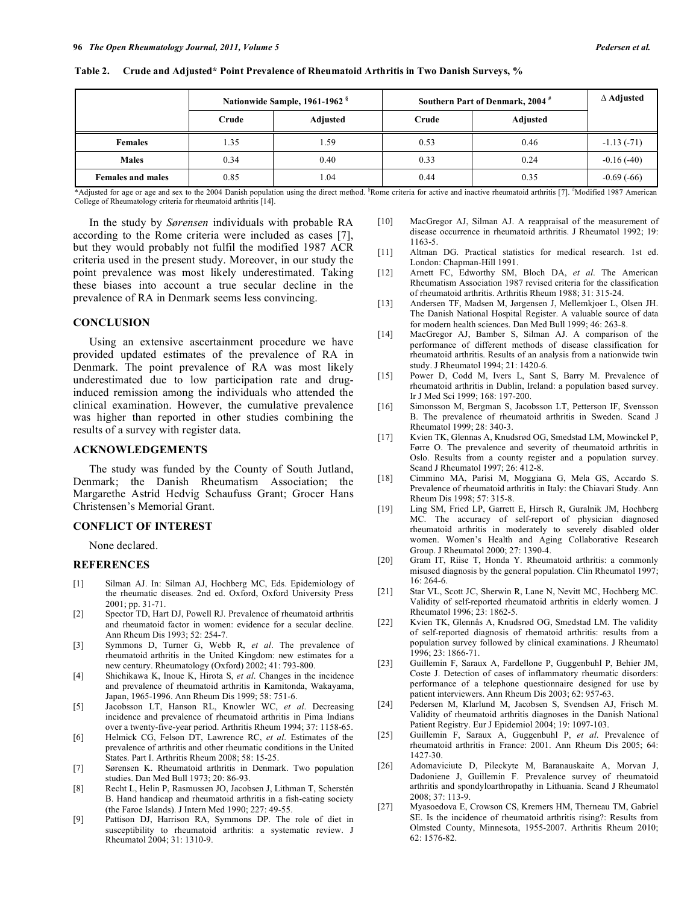|                          |       | Nationwide Sample, 1961-1962 <sup>§</sup> | Southern Part of Denmark, 2004 <sup>#</sup> | $\Delta$ Adjusted |              |
|--------------------------|-------|-------------------------------------------|---------------------------------------------|-------------------|--------------|
|                          | Crude | Adjusted                                  | Crude                                       | Adjusted          |              |
| <b>Females</b>           | l.35  | 1.59                                      | 0.53                                        | 0.46              | $-1.13(-71)$ |
| <b>Males</b>             | 0.34  | 0.40                                      | 0.33                                        | 0.24              | $-0.16(-40)$ |
| <b>Females and males</b> | 0.85  | 1.04                                      | 0.44                                        | 0.35              | $-0.69(-66)$ |

**Table 2. Crude and Adjusted\* Point Prevalence of Rheumatoid Arthritis in Two Danish Surveys, %** 

\*Adjusted for age or age and sex to the 2004 Danish population using the direct method. <sup>§</sup>Rome criteria for active and inactive rheumatoid arthritis [7]. <sup>#</sup>Modified 1987 American College of Rheumatology criteria for rheumatoid arthritis [14].

 In the study by *Sørensen* individuals with probable RA according to the Rome criteria were included as cases [7], but they would probably not fulfil the modified 1987 ACR criteria used in the present study. Moreover, in our study the point prevalence was most likely underestimated. Taking these biases into account a true secular decline in the prevalence of RA in Denmark seems less convincing.

## **CONCLUSION**

 Using an extensive ascertainment procedure we have provided updated estimates of the prevalence of RA in Denmark. The point prevalence of RA was most likely underestimated due to low participation rate and druginduced remission among the individuals who attended the clinical examination. However, the cumulative prevalence was higher than reported in other studies combining the results of a survey with register data.

# **ACKNOWLEDGEMENTS**

 The study was funded by the County of South Jutland, Denmark; the Danish Rheumatism Association; the Margarethe Astrid Hedvig Schaufuss Grant; Grocer Hans Christensen's Memorial Grant.

# **CONFLICT OF INTEREST**

None declared.

### **REFERENCES**

- [1] Silman AJ. In: Silman AJ, Hochberg MC, Eds. Epidemiology of the rheumatic diseases. 2nd ed. Oxford, Oxford University Press 2001; pp. 31-71.
- [2] Spector TD, Hart DJ, Powell RJ. Prevalence of rheumatoid arthritis and rheumatoid factor in women: evidence for a secular decline. Ann Rheum Dis 1993; 52: 254-7.
- [3] Symmons D, Turner G, Webb R, *et al*. The prevalence of rheumatoid arthritis in the United Kingdom: new estimates for a new century. Rheumatology (Oxford) 2002; 41: 793-800.
- [4] Shichikawa K, Inoue K, Hirota S, *et al*. Changes in the incidence and prevalence of rheumatoid arthritis in Kamitonda, Wakayama, Japan, 1965-1996. Ann Rheum Dis 1999; 58: 751-6.
- [5] Jacobsson LT, Hanson RL, Knowler WC, *et al*. Decreasing incidence and prevalence of rheumatoid arthritis in Pima Indians over a twenty-five-year period. Arthritis Rheum 1994; 37: 1158-65.
- [6] Helmick CG, Felson DT, Lawrence RC, *et al*. Estimates of the prevalence of arthritis and other rheumatic conditions in the United States. Part I. Arthritis Rheum 2008; 58: 15-25.
- [7] Sørensen K. Rheumatoid arthritis in Denmark. Two population studies. Dan Med Bull 1973; 20: 86-93.
- [8] Recht L, Helin P, Rasmussen JO, Jacobsen J, Lithman T, Scherstén B. Hand handicap and rheumatoid arthritis in a fish-eating society (the Faroe Islands). J Intern Med 1990; 227: 49-55.
- [9] Pattison DJ, Harrison RA, Symmons DP. The role of diet in susceptibility to rheumatoid arthritis: a systematic review. J Rheumatol 2004; 31: 1310-9.
- [10] MacGregor AJ, Silman AJ. A reappraisal of the measurement of disease occurrence in rheumatoid arthritis. J Rheumatol 1992; 19: 1163-5.
- [11] Altman DG. Practical statistics for medical research. 1st ed. London: Chapman-Hill 1991.
- [12] Arnett FC, Edworthy SM, Bloch DA, *et al*. The American Rheumatism Association 1987 revised criteria for the classification of rheumatoid arthritis. Arthritis Rheum 1988; 31: 315-24.
- [13] Andersen TF, Madsen M, Jørgensen J, Mellemkjoer L, Olsen JH. The Danish National Hospital Register. A valuable source of data for modern health sciences. Dan Med Bull 1999; 46: 263-8.
- [14] MacGregor AJ, Bamber S, Silman AJ. A comparison of the performance of different methods of disease classification for rheumatoid arthritis. Results of an analysis from a nationwide twin study. J Rheumatol 1994; 21: 1420-6.
- [15] Power D, Codd M, Ivers L, Sant S, Barry M. Prevalence of rheumatoid arthritis in Dublin, Ireland: a population based survey. Ir J Med Sci 1999; 168: 197-200.
- [16] Simonsson M, Bergman S, Jacobsson LT, Petterson IF, Svensson B. The prevalence of rheumatoid arthritis in Sweden. Scand J Rheumatol 1999; 28: 340-3.
- [17] Kvien TK, Glennas A, Knudsrød OG, Smedstad LM, Mowinckel P, Førre O. The prevalence and severity of rheumatoid arthritis in Oslo. Results from a county register and a population survey. Scand J Rheumatol 1997; 26: 412-8.
- [18] Cimmino MA, Parisi M, Moggiana G, Mela GS, Accardo S. Prevalence of rheumatoid arthritis in Italy: the Chiavari Study. Ann Rheum Dis 1998; 57: 315-8.
- [19] Ling SM, Fried LP, Garrett E, Hirsch R, Guralnik JM, Hochberg MC. The accuracy of self-report of physician diagnosed rheumatoid arthritis in moderately to severely disabled older women. Women's Health and Aging Collaborative Research Group. J Rheumatol 2000; 27: 1390-4.
- [20] Gram IT, Riise T, Honda Y. Rheumatoid arthritis: a commonly misused diagnosis by the general population. Clin Rheumatol 1997; 16: 264-6.
- [21] Star VL, Scott JC, Sherwin R, Lane N, Nevitt MC, Hochberg MC. Validity of self-reported rheumatoid arthritis in elderly women. J Rheumatol 1996; 23: 1862-5.
- [22] Kvien TK, Glennås A, Knudsrød OG, Smedstad LM. The validity of self-reported diagnosis of rhematoid arthritis: results from a population survey followed by clinical examinations. J Rheumatol 1996; 23: 1866-71.
- [23] Guillemin F, Saraux A, Fardellone P, Guggenbuhl P, Behier JM, Coste J. Detection of cases of inflammatory rheumatic disorders: performance of a telephone questionnaire designed for use by patient interviewers. Ann Rheum Dis 2003; 62: 957-63.
- [24] Pedersen M, Klarlund M, Jacobsen S, Svendsen AJ, Frisch M. Validity of rheumatoid arthritis diagnoses in the Danish National Patient Registry. Eur J Epidemiol 2004; 19: 1097-103.
- [25] Guillemin F, Saraux A, Guggenbuhl P, *et al*. Prevalence of rheumatoid arthritis in France: 2001. Ann Rheum Dis 2005; 64: 1427-30.
- [26] Adomaviciute D, Pileckyte M, Baranauskaite A, Morvan J, Dadoniene J, Guillemin F. Prevalence survey of rheumatoid arthritis and spondyloarthropathy in Lithuania. Scand J Rheumatol 2008; 37: 113-9.
- [27] Myasoedova E, Crowson CS, Kremers HM, Therneau TM, Gabriel SE. Is the incidence of rheumatoid arthritis rising?: Results from Olmsted County, Minnesota, 1955-2007. Arthritis Rheum 2010; 62: 1576-82.